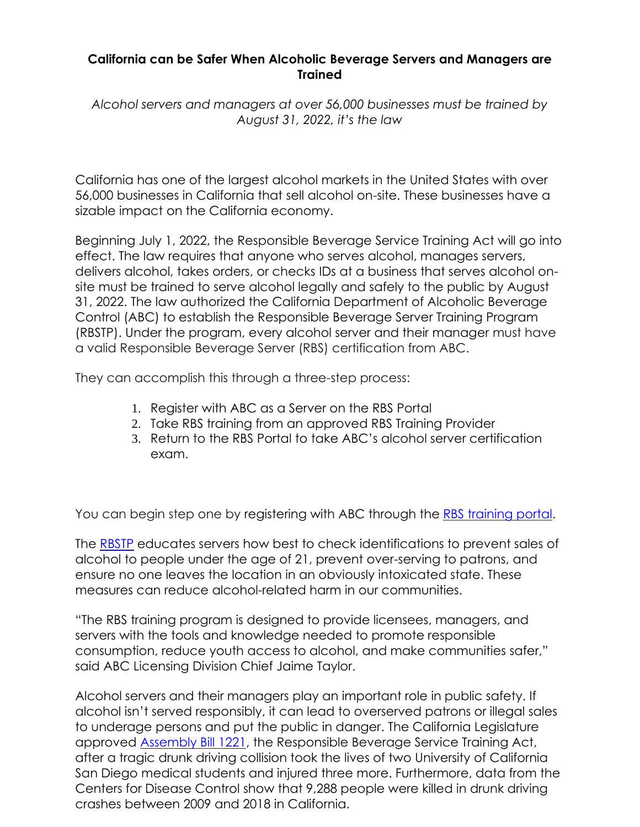## **California can be Safer When Alcoholic Beverage Servers and Managers are Trained**

*Alcohol servers and managers at over 56,000 businesses must be trained by August 31, 2022, it's the law*

California has one of the largest alcohol markets in the United States with over 56,000 businesses in California that sell alcohol on-site. These businesses have a sizable impact on the California economy.

Beginning July 1, 2022, the Responsible Beverage Service Training Act will go into effect. The law requires that anyone who serves alcohol, manages servers, delivers alcohol, takes orders, or checks IDs at a business that serves alcohol onsite must be trained to serve alcohol legally and safely to the public by August 31, 2022. The law authorized the California Department of Alcoholic Beverage Control (ABC) to establish the Responsible Beverage Server Training Program (RBSTP). Under the program, every alcohol server and their manager must have a valid Responsible Beverage Server (RBS) certification from ABC.

They can accomplish this through a three-step process:

- 1. Register with ABC as a Server on the RBS Portal
- 2. Take RBS training from an approved RBS Training Provider
- 3. Return to the RBS Portal to take ABC's alcohol server certification exam.

You can begin step one by registering with ABC through the [RBS training portal.](https://nam12.safelinks.protection.outlook.com/?url=https%3A%2F%2Fabcbiz.abc.ca.gov%2F&data=05%7C01%7C%7Cf37aa83092434b46597908da3dc01d58%7C84df9e7fe9f640afb435aaaaaaaaaaaa%7C1%7C0%7C637890192574260144%7CUnknown%7CTWFpbGZsb3d8eyJWIjoiMC4wLjAwMDAiLCJQIjoiV2luMzIiLCJBTiI6Ik1haWwiLCJXVCI6Mn0%3D%7C3000%7C%7C%7C&sdata=phZOcFcCtP3MdGF3lWosjklrmyNo%2FulC1cU72s5QY6A%3D&reserved=0)

The [RBSTP](https://nam12.safelinks.protection.outlook.com/?url=https%3A%2F%2Fwww.abc.ca.gov%2Feducation%2Frbs%2F&data=05%7C01%7C%7Cf37aa83092434b46597908da3dc01d58%7C84df9e7fe9f640afb435aaaaaaaaaaaa%7C1%7C0%7C637890192574260144%7CUnknown%7CTWFpbGZsb3d8eyJWIjoiMC4wLjAwMDAiLCJQIjoiV2luMzIiLCJBTiI6Ik1haWwiLCJXVCI6Mn0%3D%7C3000%7C%7C%7C&sdata=TZyGCurCIpUbP6XbHRdjxJnQSyCznT9L28TmlpZlleQ%3D&reserved=0) educates servers how best to check identifications to prevent sales of alcohol to people under the age of 21, prevent over-serving to patrons, and ensure no one leaves the location in an obviously intoxicated state. These measures can reduce alcohol-related harm in our communities.

"The RBS training program is designed to provide licensees, managers, and servers with the tools and knowledge needed to promote responsible consumption, reduce youth access to alcohol, and make communities safer," said ABC Licensing Division Chief Jaime Taylor.

Alcohol servers and their managers play an important role in public safety. If alcohol isn't served responsibly, it can lead to overserved patrons or illegal sales to underage persons and put the public in danger. The California Legislature approved [Assembly Bill 1221,](https://nam12.safelinks.protection.outlook.com/?url=https%3A%2F%2Fleginfo.legislature.ca.gov%2Ffaces%2FbillTextClient.xhtml%3Fbill_id%3D201720180AB1221&data=05%7C01%7C%7Cf37aa83092434b46597908da3dc01d58%7C84df9e7fe9f640afb435aaaaaaaaaaaa%7C1%7C0%7C637890192574260144%7CUnknown%7CTWFpbGZsb3d8eyJWIjoiMC4wLjAwMDAiLCJQIjoiV2luMzIiLCJBTiI6Ik1haWwiLCJXVCI6Mn0%3D%7C3000%7C%7C%7C&sdata=dcm7EfAAXMzriRpVR7oXyl4J14TjZFVeNgLn7Uospik%3D&reserved=0) the Responsible Beverage Service Training Act, after a tragic drunk driving collision took the lives of two University of California San Diego medical students and injured three more. Furthermore, data from the Centers for Disease Control show that 9,288 people were killed in drunk driving crashes between 2009 and 2018 in California.